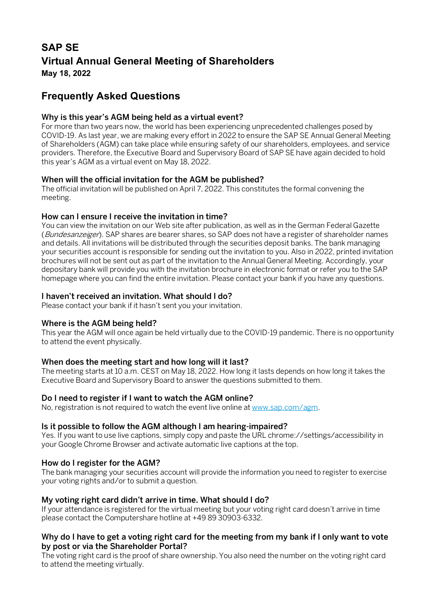# **SAP SE Virtual Annual General Meeting of Shareholders May 18, 2022**

# **Frequently Asked Questions**

# Why is this year's AGM being held as a virtual event?

For more than two years now, the world has been experiencing unprecedented challenges posed by COVID-19. As last year, we are making every effort in 2022 to ensure the SAP SE Annual General Meeting of Shareholders (AGM) can take place while ensuring safety of our shareholders, employees, and service providers. Therefore, the Executive Board and Supervisory Board of SAP SE have again decided to hold this year's AGM as a virtual event on May 18, 2022.

## When will the official invitation for the AGM be published?

The official invitation will be published on April 7, 2022. This constitutes the formal convening the meeting.

## How can I ensure I receive the invitation in time?

You can view the invitation on our Web site after publication, as well as in the German Federal Gazette (Bundesanzeiger). SAP shares are bearer shares, so SAP does not have a register of shareholder names and details. All invitations will be distributed through the securities deposit banks. The bank managing your securities account is responsible for sending out the invitation to you. Also in 2022, printed invitation brochures will not be sent out as part of the invitation to the Annual General Meeting. Accordingly, your depositary bank will provide you with the invitation brochure in electronic format or refer you to the SAP homepage where you can find the entire invitation. Please contact your bank if you have any questions.

## I haven't received an invitation. What should I do?

Please contact your bank if it hasn't sent you your invitation.

## Where is the AGM being held?

This year the AGM will once again be held virtually due to the COVID-19 pandemic. There is no opportunity to attend the event physically.

# When does the meeting start and how long will it last?

The meeting starts at 10 a.m. CEST on May 18, 2022. How long it lasts depends on how long it takes the Executive Board and Supervisory Board to answer the questions submitted to them.

## Do I need to register if I want to watch the AGM online?

No, registration is not required to watch the event live online a[t www.sap.com/agm.](http://www.sap.com/agm)

## Is it possible to follow the AGM although I am hearing-impaired?

Yes. If you want to use live captions, simply copy and paste the URL chrome://settings/accessibility in your Google Chrome Browser and activate automatic live captions at the top.

## How do I register for the AGM?

The bank managing your securities account will provide the information you need to register to exercise your voting rights and/or to submit a question.

## My voting right card didn't arrive in time. What should I do?

If your attendance is registered for the virtual meeting but your voting right card doesn't arrive in time please contact the Computershare hotline at +49 89 30903-6332.

## Why do I have to get a voting right card for the meeting from my bank if I only want to vote by post or via the Shareholder Portal?

The voting right card is the proof of share ownership. You also need the number on the voting right card to attend the meeting virtually.